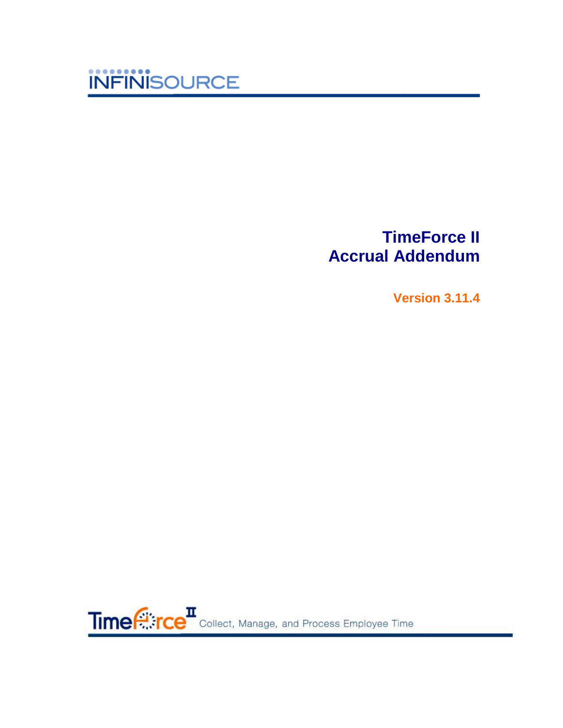

# **TimeForce II Accrual Addendum**

**Version 3.11.4**

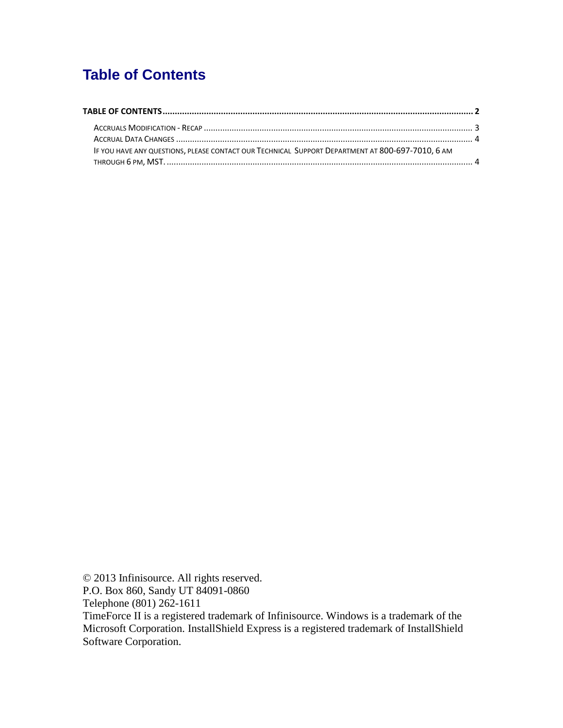## <span id="page-1-0"></span>**Table of Contents**

| IF YOU HAVE ANY QUESTIONS, PLEASE CONTACT OUR TECHNICAL SUPPORT DEPARTMENT AT 800-697-7010, 6 AM |  |
|--------------------------------------------------------------------------------------------------|--|
|                                                                                                  |  |

© 2013 Infinisource. All rights reserved. P.O. Box 860, Sandy UT 84091-0860 Telephone (801) 262-1611

TimeForce II is a registered trademark of Infinisource. Windows is a trademark of the Microsoft Corporation. InstallShield Express is a registered trademark of InstallShield Software Corporation.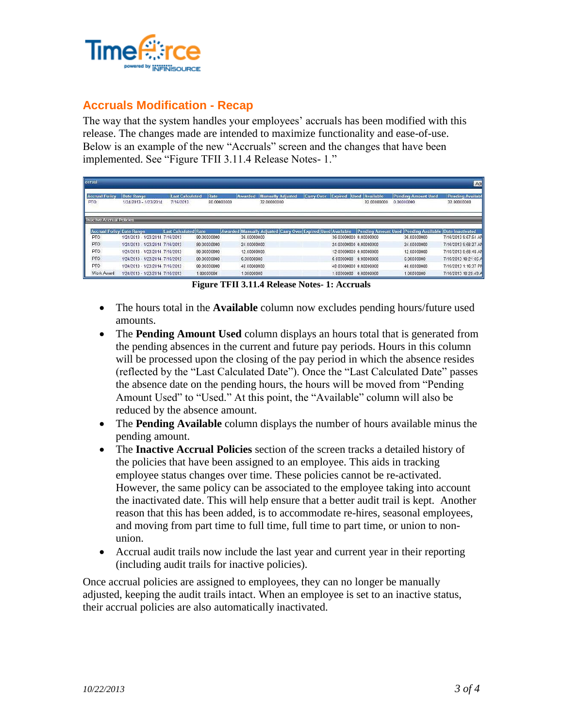

#### <span id="page-2-0"></span>**Accruals Modification - Recap**

The way that the system handles your employees' accruals has been modified with this release. The changes made are intended to maximize functionality and ease-of-use. Below is an example of the new "Accruals" screen and the changes that have been implemented. See "Figure TFII 3.11.4 Release Notes- 1."

| corual<br>Ado                                                                                                                                                                                 |                                            |                                     |                     |                        |                                        |                        |                          |                                          |                                        |  |  |  |
|-----------------------------------------------------------------------------------------------------------------------------------------------------------------------------------------------|--------------------------------------------|-------------------------------------|---------------------|------------------------|----------------------------------------|------------------------|--------------------------|------------------------------------------|----------------------------------------|--|--|--|
| <b>Accrual Policy</b><br><b>PTO</b>                                                                                                                                                           | <b>Date Range</b><br>1/24/2013 - 1/23/2014 | <b>Last Calculated</b><br>7/16/2013 | Rate<br>80.00000000 | Awarded<br>32.00000000 | <b>Manually Adjusted</b><br>Carry Over | <b>Used</b><br>Expired | Available<br>32.00000000 | <b>Pending Amount Used</b><br>0.00000000 | <b>Pending Availabl</b><br>32.00000000 |  |  |  |
| <b>Inactive Accrual Policies</b><br><b>Accrual Policy Date Range</b><br>Awarded Manually Adjusted Carry Over Expired Used Available<br>Pending Amount Used Pending Available Date Inactivated |                                            |                                     |                     |                        |                                        |                        |                          |                                          |                                        |  |  |  |
| PTO <sup>1</sup>                                                                                                                                                                              | 1/24/2013 - 1/23/2014 7/16/2013            | Last Calculated Rate                | 80.00000000         | 36.00000000            |                                        | 36.00000000 0.00000000 |                          | 36.00000000                              | 7/16/2013 9:57:54 AM                   |  |  |  |
| PTO                                                                                                                                                                                           | 1/24/2013 - 1/23/2014 7/16/2013            |                                     | 80 00000000         | 24.00000000            |                                        | 24 00000000 0 00000000 |                          | 24.00000000                              | 7/16/2013 9:58 27 AM                   |  |  |  |
| PTO.                                                                                                                                                                                          | 1/24/2013 - 1/23/2014 7/16/2013            |                                     | 80 00000000         | 12 00000000            |                                        | 12 00000000 0 00000000 |                          | 12.00000000                              | 7/16/2013 9:58:48 AM                   |  |  |  |
| PTO                                                                                                                                                                                           | 1/24/2013 - 1/23/2014 7/16/2013            |                                     | 80.00000000         | 6.00000000             |                                        | 6 00000000 0 00000000  |                          | 6.00000000                               | 7/16/2013 10:21:05 A                   |  |  |  |
| PTO                                                                                                                                                                                           | 1/24/2013 - 1/23/2014 7/16/2013            |                                     | 80.00000000         | 48.00000000            |                                        | 48 00000000 0 00000000 |                          | 48.00000000                              | 7/16/2013 1:16:37 PM                   |  |  |  |
| Work Award                                                                                                                                                                                    | 1/24/2013 - 1/23/2014 7/16/2013            |                                     | 1.00000000          | 1.00000000             |                                        | 1.00000000 0.00000000  |                          | 1 00000000                               | 7/16/2013 10:20:49 A                   |  |  |  |

**Figure TFII 3.11.4 Release Notes- 1: Accruals**

- The hours total in the **Available** column now excludes pending hours/future used amounts.
- The **Pending Amount Used** column displays an hours total that is generated from the pending absences in the current and future pay periods. Hours in this column will be processed upon the closing of the pay period in which the absence resides (reflected by the "Last Calculated Date"). Once the "Last Calculated Date" passes the absence date on the pending hours, the hours will be moved from "Pending Amount Used" to "Used." At this point, the "Available" column will also be reduced by the absence amount.
- The **Pending Available** column displays the number of hours available minus the pending amount.
- The **Inactive Accrual Policies** section of the screen tracks a detailed history of the policies that have been assigned to an employee. This aids in tracking employee status changes over time. These policies cannot be re-activated. However, the same policy can be associated to the employee taking into account the inactivated date. This will help ensure that a better audit trail is kept. Another reason that this has been added, is to accommodate re-hires, seasonal employees, and moving from part time to full time, full time to part time, or union to nonunion.
- Accrual audit trails now include the last year and current year in their reporting (including audit trails for inactive policies).

Once accrual policies are assigned to employees, they can no longer be manually adjusted, keeping the audit trails intact. When an employee is set to an inactive status, their accrual policies are also automatically inactivated.